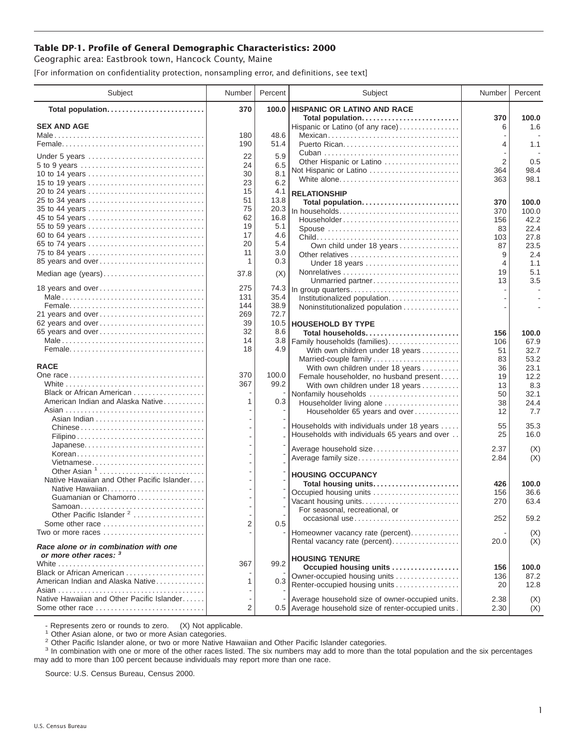## **Table DP-1. Profile of General Demographic Characteristics: 2000**

Geographic area: Eastbrook town, Hancock County, Maine

[For information on confidentiality protection, nonsampling error, and definitions, see text]

| Subject                                                                               | Number     | Percent       | Subject                                                | Number         | Percent       |
|---------------------------------------------------------------------------------------|------------|---------------|--------------------------------------------------------|----------------|---------------|
| Total population                                                                      | 370        | 100.0         | HISPANIC OR LATINO AND RACE                            |                |               |
| <b>SEX AND AGE</b>                                                                    |            |               | Total population<br>Hispanic or Latino (of any race)   | 370<br>6       | 100.0<br>1.6  |
|                                                                                       | 180        | 48.6          | Mexican                                                |                |               |
|                                                                                       | 190        | 51.4          |                                                        | 4              | 1.1           |
|                                                                                       |            |               |                                                        |                |               |
| Under 5 years                                                                         | 22         | 5.9           | Other Hispanic or Latino                               | $\overline{2}$ | 0.5           |
| 5 to 9 years                                                                          | 24<br>30   | 6.5<br>8.1    | Not Hispanic or Latino                                 | 364            | 98.4          |
| 10 to 14 years                                                                        | 23         | 6.2           | White alone                                            | 363            | 98.1          |
| 15 to 19 years<br>20 to 24 years                                                      | 15         | 4.1           |                                                        |                |               |
| 25 to 34 years                                                                        | 51         | 13.8          | <b>RELATIONSHIP</b>                                    |                |               |
| 35 to 44 years                                                                        | 75         | 20.3          | Total population                                       | 370            | 100.0         |
| 45 to 54 years                                                                        | 62         | 16.8          | In households<br>Householder                           | 370<br>156     | 100.0<br>42.2 |
| 55 to 59 years                                                                        | 19         | 5.1           | Spouse                                                 | 83             | 22.4          |
| 60 to 64 years                                                                        | 17         | 4.6           |                                                        | 103            | 27.8          |
| 65 to 74 years                                                                        | 20         | 5.4           | Own child under 18 years                               | 87             | 23.5          |
| 75 to 84 years                                                                        | 11         | 3.0           |                                                        | 9              | 2.4           |
| 85 years and over                                                                     | 1          | 0.3           | Under 18 years                                         | 4              | 1.1           |
| Median age (years)                                                                    | 37.8       | (X)           |                                                        | 19             | 5.1           |
|                                                                                       |            |               | Unmarried partner                                      | 13             | 3.5           |
| 18 years and over                                                                     | 275        | 74.3          | In group quarters                                      |                |               |
|                                                                                       | 131        | 35.4          | Institutionalized population.                          |                |               |
|                                                                                       | 144        | 38.9          | Noninstitutionalized population                        |                |               |
| 21 years and over                                                                     | 269        | 72.7          |                                                        |                |               |
| 62 years and over                                                                     | 39         |               | 10.5   HOUSEHOLD BY TYPE                               |                |               |
| 65 years and over                                                                     | 32         | 8.6           | Total households                                       | 156            | 100.0         |
|                                                                                       | 14         | 3.8           | Family households (families)                           | 106            | 67.9          |
|                                                                                       | 18         | 4.9           | With own children under 18 years                       | 51             | 32.7          |
|                                                                                       |            |               | Married-couple family                                  | 83             | 53.2          |
| <b>RACE</b>                                                                           |            |               | With own children under 18 years                       | 36             | 23.1          |
|                                                                                       | 370<br>367 | 100.0<br>99.2 | Female householder, no husband present                 | 19             | 12.2          |
| Black or African American                                                             |            |               | With own children under 18 years                       | 13             | 8.3           |
| American Indian and Alaska Native                                                     | 1          | 0.3           | Nonfamily households<br>Householder living alone       | 50<br>38       | 32.1<br>24.4  |
|                                                                                       |            |               | Householder 65 years and over                          | 12             | 7.7           |
|                                                                                       |            |               |                                                        |                |               |
| Chinese                                                                               |            |               | Households with individuals under 18 years             | 55             | 35.3          |
|                                                                                       |            |               | Households with individuals 65 years and over          | 25             | 16.0          |
|                                                                                       |            |               | Average household size                                 | 2.37           |               |
| Korean                                                                                |            |               | Average family size                                    | 2.84           | (X)<br>(X)    |
| Vietnamese                                                                            |            |               |                                                        |                |               |
| Other Asian $1, \ldots, \ldots, \ldots, \ldots, \ldots, \ldots$                       |            |               | <b>HOUSING OCCUPANCY</b>                               |                |               |
| Native Hawaiian and Other Pacific Islander                                            |            |               | Total housing units                                    | 426            | 100.0         |
|                                                                                       |            |               | Occupied housing units                                 | 156            | 36.6          |
| Guamanian or Chamorro                                                                 |            |               | Vacant housing units                                   | 270            | 63.4          |
|                                                                                       |            |               | For seasonal, recreational, or                         |                |               |
| Other Pacific Islander <sup>2</sup>                                                   | 2          |               | occasional use                                         | 252            | 59.2          |
| Some other race $\ldots, \ldots, \ldots, \ldots, \ldots, \ldots$<br>Two or more races |            | 0.5           |                                                        |                |               |
|                                                                                       |            |               | Homeowner vacancy rate (percent)                       |                | (X)<br>(X)    |
| Race alone or in combination with one<br>or more other races: 3                       |            |               | Rental vacancy rate (percent)<br><b>HOUSING TENURE</b> | 20.0           |               |
|                                                                                       | 367        | 99.2          |                                                        | 156            | 100.0         |
| Black or African American                                                             |            |               | Occupied housing units<br>Owner-occupied housing units | 136            | 87.2          |
| American Indian and Alaska Native                                                     | 1          | 0.3           | Renter-occupied housing units                          | 20             | 12.8          |
|                                                                                       |            |               |                                                        |                |               |
| Native Hawaiian and Other Pacific Islander                                            |            |               | Average household size of owner-occupied units.        | 2.38           | (X)           |
| Some other race                                                                       | 2          |               | 0.5 Average household size of renter-occupied units.   | 2.30           | (X)           |

- Represents zero or rounds to zero. (X) Not applicable.<br><sup>1</sup> Other Asian alone, or two or more Asian categories.

<sup>2</sup> Other Pacific Islander alone, or two or more Native Hawaiian and Other Pacific Islander categories.<br><sup>3</sup> In combination with one or more of the other races listed. The six numbers may add to more than the total populati may add to more than 100 percent because individuals may report more than one race.

Source: U.S. Census Bureau, Census 2000.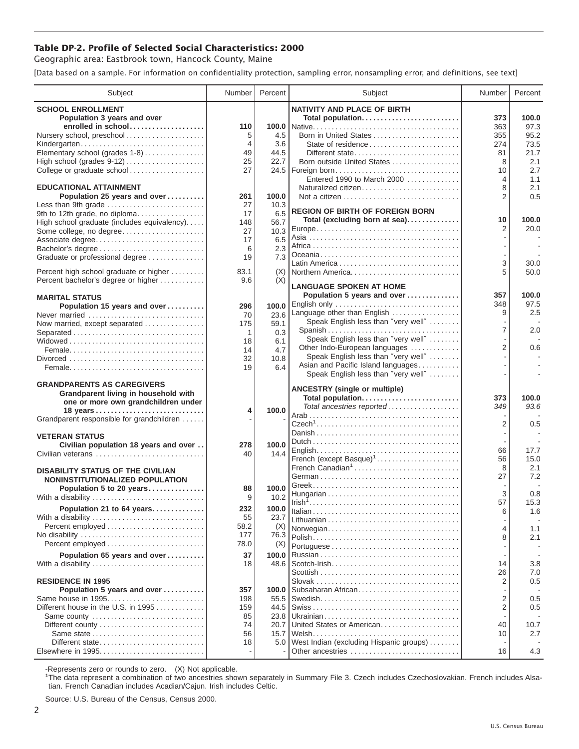## **Table DP-2. Profile of Selected Social Characteristics: 2000**

Geographic area: Eastbrook town, Hancock County, Maine

[Data based on a sample. For information on confidentiality protection, sampling error, nonsampling error, and definitions, see text]

| Subject                                                                     | Number         | Percent       | Subject                                                            | Number         | Percent     |
|-----------------------------------------------------------------------------|----------------|---------------|--------------------------------------------------------------------|----------------|-------------|
| <b>SCHOOL ENROLLMENT</b>                                                    |                |               | <b>NATIVITY AND PLACE OF BIRTH</b>                                 |                |             |
| Population 3 years and over                                                 |                |               | Total population                                                   | 373            | 100.0       |
| enrolled in school                                                          | 110            |               |                                                                    | 363            | 97.3        |
| Nursery school, preschool                                                   | 5              | 4.5           | Born in United States                                              | 355            | 95.2        |
| Kindergarten                                                                | $\overline{4}$ | 3.6           |                                                                    | 274            | 73.5        |
| Elementary school (grades 1-8)                                              | 49<br>25       | 44.5<br>22.7  | Different state<br>Born outside United States                      | 81<br>8        | 21.7<br>2.1 |
| College or graduate school                                                  | 27             |               | 24.5   Foreign born                                                | 10             | 2.7         |
|                                                                             |                |               | Entered 1990 to March 2000                                         | 4              | 1.1         |
| <b>EDUCATIONAL ATTAINMENT</b>                                               |                |               | Naturalized citizen                                                | 8              | 2.1         |
| Population 25 years and over                                                | 261            | 100.0         |                                                                    | 2              | 0.5         |
| Less than 9th grade                                                         | 27             | 10.3          | <b>REGION OF BIRTH OF FOREIGN BORN</b>                             |                |             |
| 9th to 12th grade, no diploma                                               | 17             | 6.5           | Total (excluding born at sea)                                      | 10             | 100.0       |
| High school graduate (includes equivalency)<br>Some college, no degree      | 148<br>27      | 56.7<br>10.3  |                                                                    | 2              | 20.0        |
| Associate degree                                                            | 17             | 6.5           |                                                                    |                |             |
|                                                                             | 6              | 2.3           |                                                                    |                |             |
| Graduate or professional degree                                             | 19             | 7.3           |                                                                    |                |             |
| Percent high school graduate or higher                                      |                |               |                                                                    | 3<br>5         | 30.0        |
| Percent bachelor's degree or higher                                         | 83.1<br>9.6    | (X)<br>(X)    | Northern America                                                   |                | 50.0        |
|                                                                             |                |               | <b>LANGUAGE SPOKEN AT HOME</b>                                     |                |             |
| <b>MARITAL STATUS</b>                                                       |                |               | Population 5 years and over                                        | 357            | 100.0       |
| Population 15 years and over                                                | 296            | 100.0         | English only                                                       | 348            | 97.5        |
| Never married                                                               | 70             | 23.6          | Language other than English<br>Speak English less than "very well" | 9              | 2.5         |
| Now married, except separated                                               | 175            | 59.1          | Spanish                                                            | $\overline{7}$ | 2.0         |
| Separated                                                                   | 1              | 0.3<br>6.1    | Speak English less than "very well"                                |                |             |
|                                                                             | 18<br>14       | 4.7           | Other Indo-European languages                                      | $\overline{2}$ | 0.6         |
|                                                                             | 32             | 10.8          | Speak English less than "very well"                                |                |             |
|                                                                             | 19             | 6.4           | Asian and Pacific Island languages                                 |                |             |
|                                                                             |                |               | Speak English less than "very well"                                |                |             |
| <b>GRANDPARENTS AS CAREGIVERS</b>                                           |                |               | <b>ANCESTRY (single or multiple)</b>                               |                |             |
| Grandparent living in household with<br>one or more own grandchildren under |                |               | Total population                                                   | 373            | 100.0       |
|                                                                             | 4              | 100.0         | Total ancestries reported                                          | 349            | 93.6        |
| Grandparent responsible for grandchildren                                   |                |               |                                                                    |                |             |
|                                                                             |                |               |                                                                    | 2              | 0.5         |
| <b>VETERAN STATUS</b>                                                       |                |               |                                                                    |                |             |
| Civilian population 18 years and over                                       | 278            | 100.0         |                                                                    | 66             | 17.7        |
| Civilian veterans                                                           | 40             | 14.4          | French (except Basque) <sup>1</sup>                                | 56             | 15.0        |
| <b>DISABILITY STATUS OF THE CIVILIAN</b>                                    |                |               | French Canadian <sup>1</sup>                                       | 8              | 2.1         |
| NONINSTITUTIONALIZED POPULATION                                             |                |               |                                                                    | 27             | 7.2         |
| Population 5 to 20 years                                                    | 88             | 100.0         |                                                                    | 3              |             |
| With a disability                                                           | 9              | 10.2          |                                                                    | 57             | 0.8<br>15.3 |
| Population 21 to 64 years                                                   | 232            | 100.0         |                                                                    | 6              | 1.6         |
| With a disability                                                           | 55             | 23.7          |                                                                    |                |             |
|                                                                             | 58.2           | (X)           | Norwegian                                                          | 4              | 1.1         |
|                                                                             | 177<br>78.0    | 76.3          |                                                                    | 8              | 2.1         |
| Percent employed                                                            |                | (X)           |                                                                    |                |             |
| Population 65 years and over                                                | 37             | 100.0<br>48.6 |                                                                    | 14             | 3.8         |
| With a disability                                                           | 18             |               |                                                                    | 26             | 7.0         |
| <b>RESIDENCE IN 1995</b>                                                    |                |               |                                                                    | $\overline{2}$ | 0.5         |
| Population 5 years and over                                                 | 357            | 100.0         | Subsaharan African                                                 |                |             |
| Same house in 1995                                                          | 198            | 55.5          |                                                                    | 2              | 0.5         |
| Different house in the U.S. in 1995                                         | 159            | 44.5          |                                                                    | 2              | 0.5         |
| Same county                                                                 | 85             | 23.8          |                                                                    |                |             |
| Same state                                                                  | 74<br>56       | 20.7<br>15.7  | United States or American                                          | 40<br>10       | 10.7<br>2.7 |
| Different state                                                             | 18             | 5.0           | West Indian (excluding Hispanic groups)                            |                |             |
|                                                                             |                |               | Other ancestries                                                   | 16             | 4.3         |
|                                                                             |                |               |                                                                    |                |             |

-Represents zero or rounds to zero. (X) Not applicable. 1 The data represent a combination of two ancestries shown separately in Summary File 3. Czech includes Czechoslovakian. French includes Alsatian. French Canadian includes Acadian/Cajun. Irish includes Celtic.

Source: U.S. Bureau of the Census, Census 2000.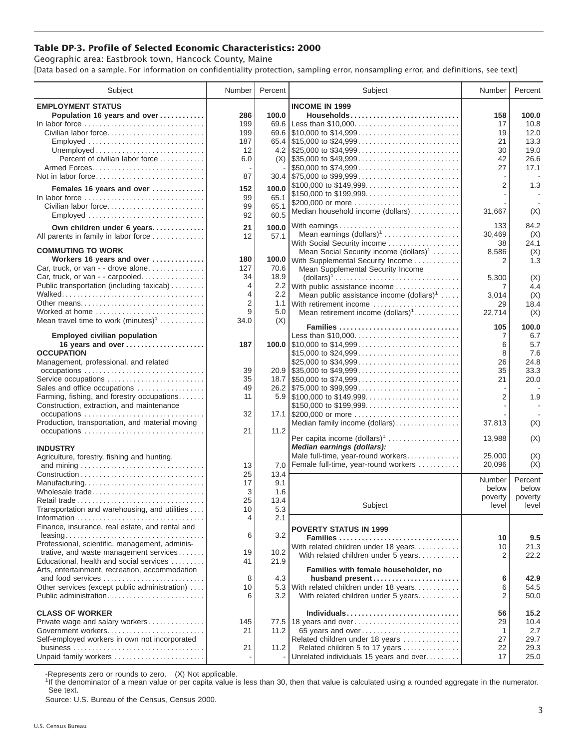## **Table DP-3. Profile of Selected Economic Characteristics: 2000**

Geographic area: Eastbrook town, Hancock County, Maine [Data based on a sample. For information on confidentiality protection, sampling error, nonsampling error, and definitions, see text]

| Subject                                                                                   | Number         | Percent       | Subject                                                                                                                     | Number         | Percent     |
|-------------------------------------------------------------------------------------------|----------------|---------------|-----------------------------------------------------------------------------------------------------------------------------|----------------|-------------|
| <b>EMPLOYMENT STATUS</b>                                                                  |                |               | <b>INCOME IN 1999</b>                                                                                                       |                |             |
| Population 16 years and over                                                              | 286            | 100.0         | Households                                                                                                                  | 158            | 100.0       |
| In labor force                                                                            | 199            | 69.6          | Less than \$10,000                                                                                                          | 17             | 10.8        |
| Civilian labor force                                                                      | 199            |               |                                                                                                                             | 19             | 12.0        |
| Employed                                                                                  | 187            |               |                                                                                                                             | 21             | 13.3        |
|                                                                                           | 12             |               |                                                                                                                             | 30             | 19.0        |
| Percent of civilian labor force                                                           | 6.0            |               | $(X)$ \\ \$35,000 to \$49,999                                                                                               | 42             | 26.6        |
|                                                                                           |                |               | \$50,000 to \$74,999                                                                                                        | 27             | 17.1        |
| Not in labor force                                                                        | 87             |               | $30.4$ \\ \$75,000 to \$99,999                                                                                              |                |             |
| Females 16 years and over                                                                 | 152            | 100.0         | \$100,000 to \$149,999                                                                                                      | $\overline{2}$ | 1.3         |
| In labor force                                                                            | 99             | 65.1          | \$150,000 to \$199,999<br>\$200,000 or more                                                                                 |                |             |
| Civilian labor force                                                                      | 99             | 65.1          | Median household income (dollars)                                                                                           | 31,667         | (X)         |
|                                                                                           | 92             | 60.5          |                                                                                                                             |                |             |
| Own children under 6 years                                                                | 21             | 100.0         | With earnings                                                                                                               | 133            | 84.2        |
| All parents in family in labor force                                                      | 12             | 57.1          | Mean earnings $(dollars)1$                                                                                                  | 30,469         | (X)         |
|                                                                                           |                |               | With Social Security income                                                                                                 | 38             | 24.1        |
| <b>COMMUTING TO WORK</b>                                                                  |                |               | Mean Social Security income (dollars) <sup>1</sup>                                                                          | 8,586          | (X)         |
| Workers 16 years and over<br>Car, truck, or van - - drove alone                           | 180<br>127     | 100.0<br>70.6 | With Supplemental Security Income                                                                                           | 2              | 1.3         |
| Car, truck, or van - - carpooled                                                          | 34             | 18.9          | Mean Supplemental Security Income<br>$\text{(dollars)}^1 \dots \dots \dots \dots \dots \dots \dots \dots \dots \dots \dots$ |                |             |
| Public transportation (including taxicab)                                                 | $\overline{4}$ |               | 2.2 With public assistance income                                                                                           | 5,300<br>7     | (X)<br>4.4  |
|                                                                                           | 4              | $2.2^{\circ}$ | Mean public assistance income $(dollars)^1 \ldots$ .                                                                        | 3,014          | (X)         |
| Other means                                                                               | 2              |               | 1.1 With retirement income                                                                                                  | 29             | 18.4        |
| Worked at home                                                                            | 9              | 5.0           | Mean retirement income $(dollars)1$                                                                                         | 22,714         | (X)         |
| Mean travel time to work $(minutes)^1$                                                    | 34.0           | (X)           |                                                                                                                             |                |             |
|                                                                                           |                |               | Families                                                                                                                    | 105            | 100.0       |
| <b>Employed civilian population</b>                                                       |                |               | Less than \$10,000                                                                                                          | 7              | 6.7         |
| 16 years and over<br><b>OCCUPATION</b>                                                    | 187            |               |                                                                                                                             | 6              | 5.7         |
| Management, professional, and related                                                     |                |               | \$15,000 to \$24,999<br>\$25,000 to \$34,999                                                                                | 8<br>26        | 7.6<br>24.8 |
| occupations                                                                               | 39             |               | $20.9$ \\ \$35,000 to \$49,999                                                                                              | 35             | 33.3        |
| Service occupations                                                                       | 35             |               |                                                                                                                             | 21             | 20.0        |
| Sales and office occupations                                                              | 49             |               |                                                                                                                             |                |             |
| Farming, fishing, and forestry occupations                                                | 11             |               |                                                                                                                             | $\overline{2}$ | 1.9         |
| Construction, extraction, and maintenance                                                 |                |               | \$150,000 to \$199,999                                                                                                      |                |             |
| occupations                                                                               | 32             |               | 17.1 \$200,000 or more                                                                                                      |                |             |
| Production, transportation, and material moving                                           |                |               | Median family income (dollars)                                                                                              | 37,813         | (X)         |
| occupations                                                                               | 21             | 11.2          |                                                                                                                             |                |             |
|                                                                                           |                |               | Per capita income (dollars) <sup>1</sup>                                                                                    | 13,988         | (X)         |
| <b>INDUSTRY</b>                                                                           |                |               | Median earnings (dollars):<br>Male full-time, year-round workers                                                            | 25,000         | (X)         |
| Agriculture, forestry, fishing and hunting,                                               | 13             | 7.0           | Female full-time, year-round workers                                                                                        | 20,096         | (X)         |
|                                                                                           | 25             | 13.4          |                                                                                                                             |                |             |
| Manufacturing                                                                             | 17             | 9.1           |                                                                                                                             | Number         | Percent     |
| Wholesale trade                                                                           | 3              | 1.6           |                                                                                                                             | below          | below       |
| Retail trade                                                                              | 25             | 13.4          |                                                                                                                             | poverty        | poverty     |
| Transportation and warehousing, and utilities                                             | 10             | 5.3           | Subject                                                                                                                     | level          | level       |
|                                                                                           | 4              | 2.1           |                                                                                                                             |                |             |
| Finance, insurance, real estate, and rental and                                           |                |               | <b>POVERTY STATUS IN 1999</b>                                                                                               |                |             |
|                                                                                           | 6              | 3.2           | Families                                                                                                                    | 10             | 9.5         |
| Professional, scientific, management, adminis-                                            |                |               | With related children under 18 years                                                                                        | 10             | 21.3        |
| trative, and waste management services                                                    | 19             | 10.2          | With related children under 5 years                                                                                         | 2              | 22.2        |
| Educational, health and social services<br>Arts, entertainment, recreation, accommodation | 41             | 21.9          | Families with female householder, no                                                                                        |                |             |
| and food services                                                                         | 8              | 4.3           | husband present                                                                                                             | 6              | 42.9        |
| Other services (except public administration)                                             | 10             |               | 5.3 With related children under 18 years                                                                                    | 6              | 54.5        |
| Public administration                                                                     | 6              | 3.2           | With related children under 5 years                                                                                         | 2              | 50.0        |
|                                                                                           |                |               |                                                                                                                             |                |             |
| <b>CLASS OF WORKER</b>                                                                    |                |               | Individuals                                                                                                                 | 56             | 15.2        |
| Private wage and salary workers                                                           | 145            |               | 77.5 18 years and over                                                                                                      | 29             | 10.4        |
|                                                                                           | 21             | 11.2          | 65 years and over                                                                                                           | -1             | 2.7         |
| Self-employed workers in own not incorporated                                             |                |               | Related children under 18 years                                                                                             | 27             | 29.7        |
|                                                                                           | 21             | 11.2          | Related children 5 to 17 years                                                                                              | 22             | 29.3        |
| Unpaid family workers                                                                     |                |               | Unrelated individuals 15 years and over                                                                                     | 17             | 25.0        |

-Represents zero or rounds to zero. (X) Not applicable.

<sup>1</sup>If the denominator of a mean value or per capita value is less than 30, then that value is calculated using a rounded aggregate in the numerator. See text.

Source: U.S. Bureau of the Census, Census 2000.